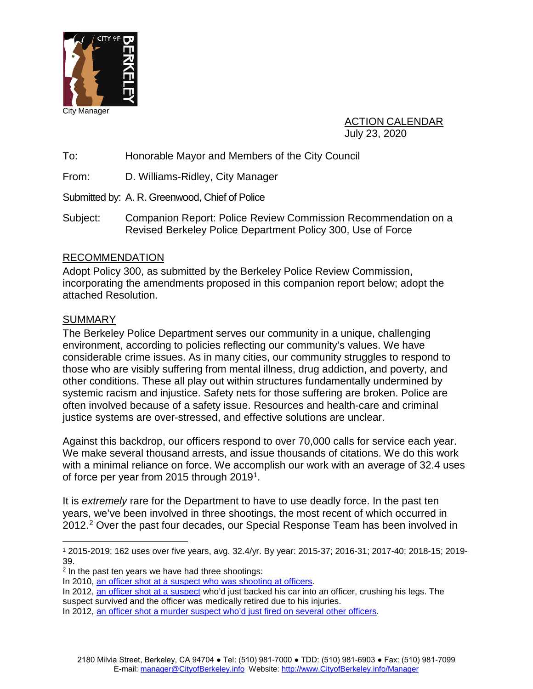

ACTION CALENDAR July 23, 2020

To: Honorable Mayor and Members of the City Council

From: D. Williams-Ridley, City Manager

Submitted by: A. R. Greenwood, Chief of Police

Subject: Companion Report: Police Review Commission Recommendation on a Revised Berkeley Police Department Policy 300, Use of Force

## RECOMMENDATION

Adopt Policy 300, as submitted by the Berkeley Police Review Commission, incorporating the amendments proposed in this companion report below; adopt the attached Resolution.

### SUMMARY

The Berkeley Police Department serves our community in a unique, challenging environment, according to policies reflecting our community's values. We have considerable crime issues. As in many cities, our community struggles to respond to those who are visibly suffering from mental illness, drug addiction, and poverty, and other conditions. These all play out within structures fundamentally undermined by systemic racism and injustice. Safety nets for those suffering are broken. Police are often involved because of a safety issue. Resources and health-care and criminal justice systems are over-stressed, and effective solutions are unclear.

Against this backdrop, our officers respond to over 70,000 calls for service each year. We make several thousand arrests, and issue thousands of citations. We do this work with a minimal reliance on force. We accomplish our work with an average of 32.4 uses of force per year from 2015 through 2019<sup>1</sup>.

It is *extremely* rare for the Department to have to use deadly force. In the past ten years, we've been involved in three shootings, the most recent of which occurred in [2](#page-0-1)012.<sup>2</sup> Over the past four decades, our Special Response Team has been involved in

<span id="page-0-0"></span> <sup>1</sup> 2015-2019: 162 uses over five years, avg. 32.4/yr. By year: 2015-37; 2016-31; 2017-40; 2018-15; 2019- 39.

<span id="page-0-1"></span><sup>2</sup> In the past ten years we have had three shootings:

In 2010, [an officer shot at a suspect who was shooting at officers.](https://www.berkeleyside.com/2010/06/29/berkeley-police-shoot-and-kill-man)

In 2012, [an officer shot at a suspect](https://www.berkeleyside.com/2012/02/08/berkeley-police-officer-shot-during-castro-valley-arrest) who'd just backed his car into an officer, crushing his legs. The suspect survived and the officer was medically retired due to his injuries.

In 2012, [an officer shot a murder suspect who'd just fired on several other officers.](https://www.berkeleyside.com/2012/04/14/berkeley-police-exchange-gunfire-with-fleeing-suspect)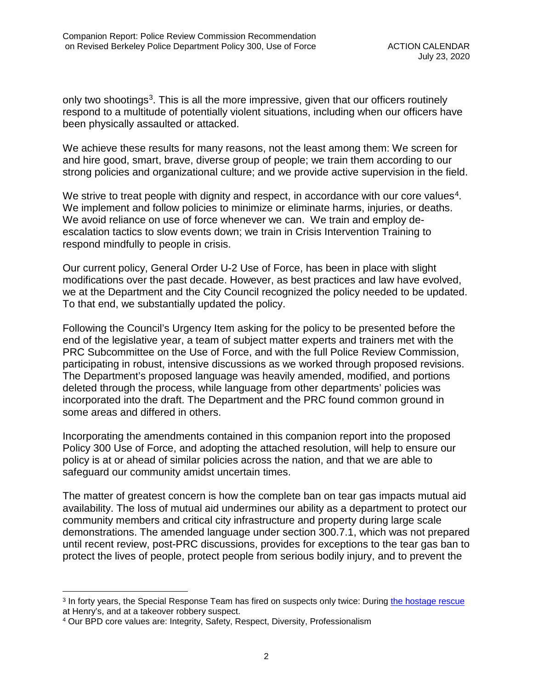only two shootings<sup>3</sup>. This is all the more impressive, given that our officers routinely respond to a multitude of potentially violent situations, including when our officers have been physically assaulted or attacked.

We achieve these results for many reasons, not the least among them: We screen for and hire good, smart, brave, diverse group of people; we train them according to our strong policies and organizational culture; and we provide active supervision in the field.

We strive to treat people with dignity and respect, in accordance with our core values<sup>[4](#page-1-1)</sup>. We implement and follow policies to minimize or eliminate harms, injuries, or deaths. We avoid reliance on use of force whenever we can. We train and employ deescalation tactics to slow events down; we train in Crisis Intervention Training to respond mindfully to people in crisis.

Our current policy, General Order U-2 Use of Force, has been in place with slight modifications over the past decade. However, as best practices and law have evolved, we at the Department and the City Council recognized the policy needed to be updated. To that end, we substantially updated the policy.

Following the Council's Urgency Item asking for the policy to be presented before the end of the legislative year, a team of subject matter experts and trainers met with the PRC Subcommittee on the Use of Force, and with the full Police Review Commission, participating in robust, intensive discussions as we worked through proposed revisions. The Department's proposed language was heavily amended, modified, and portions deleted through the process, while language from other departments' policies was incorporated into the draft. The Department and the PRC found common ground in some areas and differed in others.

Incorporating the amendments contained in this companion report into the proposed Policy 300 Use of Force, and adopting the attached resolution, will help to ensure our policy is at or ahead of similar policies across the nation, and that we are able to safeguard our community amidst uncertain times.

The matter of greatest concern is how the complete ban on tear gas impacts mutual aid availability. The loss of mutual aid undermines our ability as a department to protect our community members and critical city infrastructure and property during large scale demonstrations. The amended language under section 300.7.1, which was not prepared until recent review, post-PRC discussions, provides for exceptions to the tear gas ban to protect the lives of people, protect people from serious bodily injury, and to prevent the

<span id="page-1-0"></span> <sup>3</sup> In forty years, the Special Response Team has fired on suspects only twice: During [the hostage rescue](https://www.berkeleyside.com/2015/10/02/25-years-later-henrys-hostage-crisis-remembered) at Henry's, and at a takeover robbery suspect.

<span id="page-1-1"></span><sup>4</sup> Our BPD core values are: Integrity, Safety, Respect, Diversity, Professionalism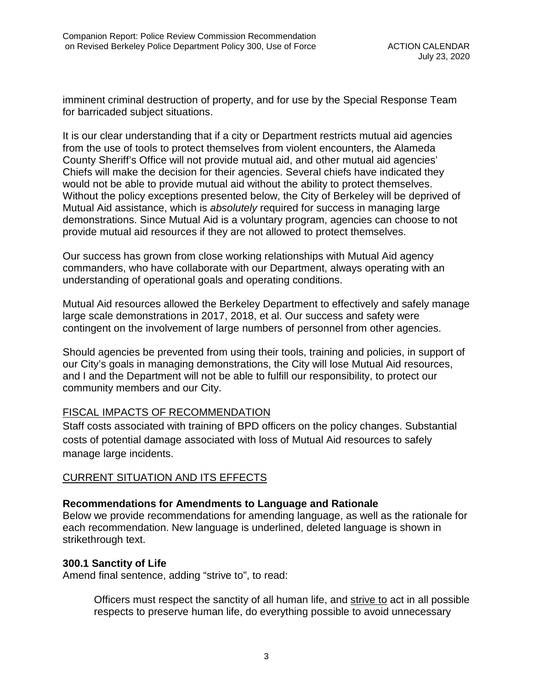imminent criminal destruction of property, and for use by the Special Response Team for barricaded subject situations.

It is our clear understanding that if a city or Department restricts mutual aid agencies from the use of tools to protect themselves from violent encounters, the Alameda County Sheriff's Office will not provide mutual aid, and other mutual aid agencies' Chiefs will make the decision for their agencies. Several chiefs have indicated they would not be able to provide mutual aid without the ability to protect themselves. Without the policy exceptions presented below, the City of Berkeley will be deprived of Mutual Aid assistance, which is *absolutely* required for success in managing large demonstrations. Since Mutual Aid is a voluntary program, agencies can choose to not provide mutual aid resources if they are not allowed to protect themselves.

Our success has grown from close working relationships with Mutual Aid agency commanders, who have collaborate with our Department, always operating with an understanding of operational goals and operating conditions.

Mutual Aid resources allowed the Berkeley Department to effectively and safely manage large scale demonstrations in 2017, 2018, et al. Our success and safety were contingent on the involvement of large numbers of personnel from other agencies.

Should agencies be prevented from using their tools, training and policies, in support of our City's goals in managing demonstrations, the City will lose Mutual Aid resources, and I and the Department will not be able to fulfill our responsibility, to protect our community members and our City.

# FISCAL IMPACTS OF RECOMMENDATION

Staff costs associated with training of BPD officers on the policy changes. Substantial costs of potential damage associated with loss of Mutual Aid resources to safely manage large incidents.

# CURRENT SITUATION AND ITS EFFECTS

### **Recommendations for Amendments to Language and Rationale**

Below we provide recommendations for amending language, as well as the rationale for each recommendation. New language is underlined, deleted language is shown in strikethrough text.

### **300.1 Sanctity of Life**

Amend final sentence, adding "strive to", to read:

Officers must respect the sanctity of all human life, and strive to act in all possible respects to preserve human life, do everything possible to avoid unnecessary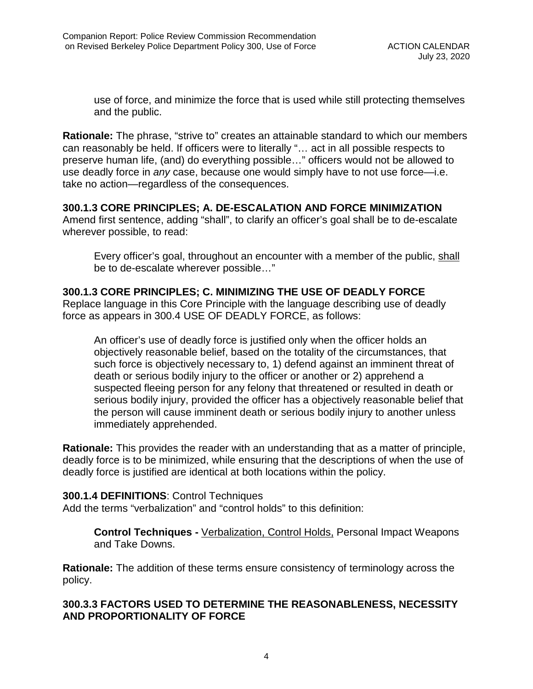use of force, and minimize the force that is used while still protecting themselves and the public.

**Rationale:** The phrase, "strive to" creates an attainable standard to which our members can reasonably be held. If officers were to literally "… act in all possible respects to preserve human life, (and) do everything possible…" officers would not be allowed to use deadly force in *any* case, because one would simply have to not use force—i.e. take no action—regardless of the consequences.

## **300.1.3 CORE PRINCIPLES; A. DE-ESCALATION AND FORCE MINIMIZATION**

Amend first sentence, adding "shall", to clarify an officer's goal shall be to de-escalate wherever possible, to read:

Every officer's goal, throughout an encounter with a member of the public, shall be to de-escalate wherever possible…"

## **300.1.3 CORE PRINCIPLES; C. MINIMIZING THE USE OF DEADLY FORCE**

Replace language in this Core Principle with the language describing use of deadly force as appears in 300.4 USE OF DEADLY FORCE, as follows:

An officer's use of deadly force is justified only when the officer holds an objectively reasonable belief, based on the totality of the circumstances, that such force is objectively necessary to, 1) defend against an imminent threat of death or serious bodily injury to the officer or another or 2) apprehend a suspected fleeing person for any felony that threatened or resulted in death or serious bodily injury, provided the officer has a objectively reasonable belief that the person will cause imminent death or serious bodily injury to another unless immediately apprehended.

**Rationale:** This provides the reader with an understanding that as a matter of principle, deadly force is to be minimized, while ensuring that the descriptions of when the use of deadly force is justified are identical at both locations within the policy.

### **300.1.4 DEFINITIONS**: Control Techniques

Add the terms "verbalization" and "control holds" to this definition:

**Control Techniques -** Verbalization, Control Holds, Personal Impact Weapons and Take Downs.

**Rationale:** The addition of these terms ensure consistency of terminology across the policy.

## **300.3.3 FACTORS USED TO DETERMINE THE REASONABLENESS, NECESSITY AND PROPORTIONALITY OF FORCE**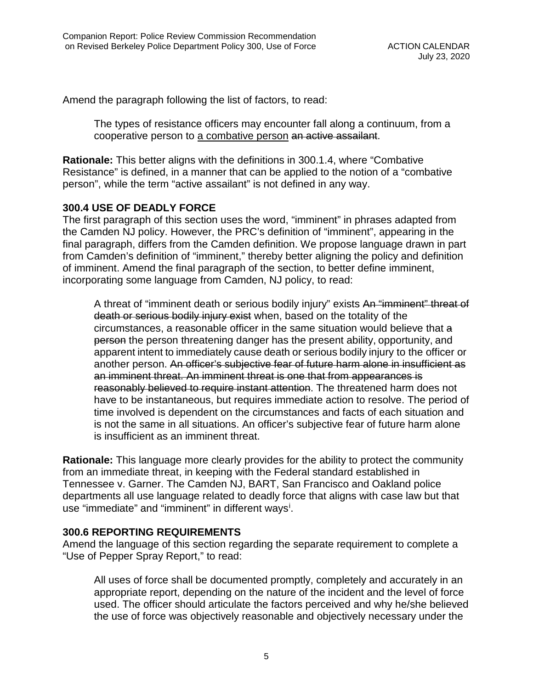Amend the paragraph following the list of factors, to read:

The types of resistance officers may encounter fall along a continuum, from a cooperative person to a combative person an active assailant.

**Rationale:** This better aligns with the definitions in 300.1.4, where "Combative Resistance" is defined, in a manner that can be applied to the notion of a "combative person", while the term "active assailant" is not defined in any way.

### **300.4 USE OF DEADLY FORCE**

The first paragraph of this section uses the word, "imminent" in phrases adapted from the Camden NJ policy. However, the PRC's definition of "imminent", appearing in the final paragraph, differs from the Camden definition. We propose language drawn in part from Camden's definition of "imminent," thereby better aligning the policy and definition of imminent. Amend the final paragraph of the section, to better define imminent, incorporating some language from Camden, NJ policy, to read:

A threat of "imminent death or serious bodily injury" exists An "imminent" threat of death or serious bodily injury exist when, based on the totality of the circumstances, a reasonable officer in the same situation would believe that a person the person threatening danger has the present ability, opportunity, and apparent intent to immediately cause death or serious bodily injury to the officer or another person. An officer's subjective fear of future harm alone in insufficient as an imminent threat. An imminent threat is one that from appearances is reasonably believed to require instant attention. The threatened harm does not have to be instantaneous, but requires immediate action to resolve. The period of time involved is dependent on the circumstances and facts of each situation and is not the same in all situations. An officer's subjective fear of future harm alone is insufficient as an imminent threat.

**Rationale:** This language more clearly provides for the ability to protect the community from an immediate threat, in keeping with the Federal standard established in Tennessee v. Garner. The Camden NJ, BART, San Francisco and Oakland police departments all use language related to deadly force that aligns with case law but that use "[i](#page-10-0)mmediate" and "imminent" in different ways<sup>i</sup>.

### **300.6 REPORTING REQUIREMENTS**

Amend the language of this section regarding the separate requirement to complete a "Use of Pepper Spray Report," to read:

All uses of force shall be documented promptly, completely and accurately in an appropriate report, depending on the nature of the incident and the level of force used. The officer should articulate the factors perceived and why he/she believed the use of force was objectively reasonable and objectively necessary under the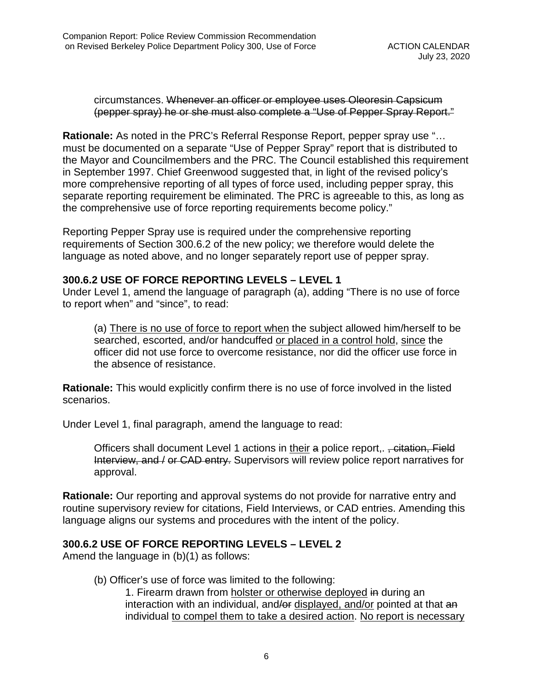### circumstances. Whenever an officer or employee uses Oleoresin Capsicum (pepper spray) he or she must also complete a "Use of Pepper Spray Report."

**Rationale:** As noted in the PRC's Referral Response Report, pepper spray use "… must be documented on a separate "Use of Pepper Spray" report that is distributed to the Mayor and Councilmembers and the PRC. The Council established this requirement in September 1997. Chief Greenwood suggested that, in light of the revised policy's more comprehensive reporting of all types of force used, including pepper spray, this separate reporting requirement be eliminated. The PRC is agreeable to this, as long as the comprehensive use of force reporting requirements become policy."

Reporting Pepper Spray use is required under the comprehensive reporting requirements of Section 300.6.2 of the new policy; we therefore would delete the language as noted above, and no longer separately report use of pepper spray.

### **300.6.2 USE OF FORCE REPORTING LEVELS – LEVEL 1**

Under Level 1, amend the language of paragraph (a), adding "There is no use of force to report when" and "since", to read:

(a) There is no use of force to report when the subject allowed him/herself to be searched, escorted, and/or handcuffed or placed in a control hold, since the officer did not use force to overcome resistance, nor did the officer use force in the absence of resistance.

**Rationale:** This would explicitly confirm there is no use of force involved in the listed scenarios.

Under Level 1, final paragraph, amend the language to read:

Officers shall document Level 1 actions in their a police report, <del>, citation, Field</del> Interview, and / or CAD entry. Supervisors will review police report narratives for approval.

**Rationale:** Our reporting and approval systems do not provide for narrative entry and routine supervisory review for citations, Field Interviews, or CAD entries. Amending this language aligns our systems and procedures with the intent of the policy.

# **300.6.2 USE OF FORCE REPORTING LEVELS – LEVEL 2**

Amend the language in (b)(1) as follows:

(b) Officer's use of force was limited to the following:

1. Firearm drawn from holster or otherwise deployed in during an interaction with an individual, and/or displayed, and/or pointed at that an individual to compel them to take a desired action. No report is necessary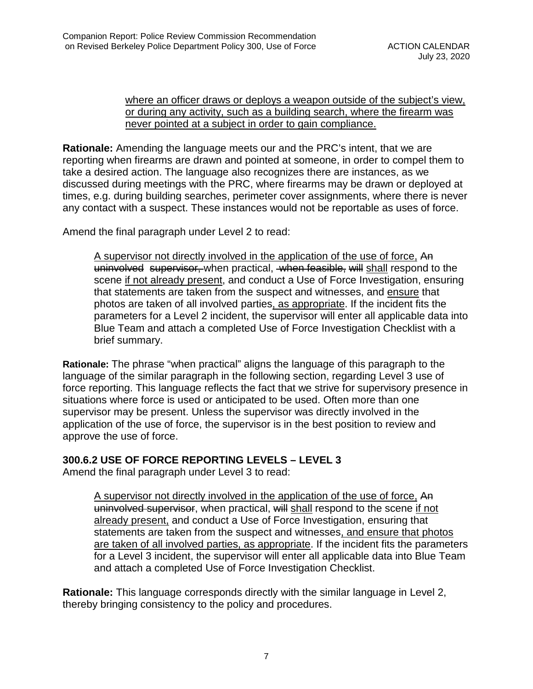### where an officer draws or deploys a weapon outside of the subject's view, or during any activity, such as a building search, where the firearm was never pointed at a subject in order to gain compliance.

**Rationale:** Amending the language meets our and the PRC's intent, that we are reporting when firearms are drawn and pointed at someone, in order to compel them to take a desired action. The language also recognizes there are instances, as we discussed during meetings with the PRC, where firearms may be drawn or deployed at times, e.g. during building searches, perimeter cover assignments, where there is never any contact with a suspect. These instances would not be reportable as uses of force.

Amend the final paragraph under Level 2 to read:

A supervisor not directly involved in the application of the use of force, An uninvolved supervisor, when practical, when feasible, will shall respond to the scene if not already present, and conduct a Use of Force Investigation, ensuring that statements are taken from the suspect and witnesses, and ensure that photos are taken of all involved parties, as appropriate. If the incident fits the parameters for a Level 2 incident, the supervisor will enter all applicable data into Blue Team and attach a completed Use of Force Investigation Checklist with a brief summary.

**Rationale:** The phrase "when practical" aligns the language of this paragraph to the language of the similar paragraph in the following section, regarding Level 3 use of force reporting. This language reflects the fact that we strive for supervisory presence in situations where force is used or anticipated to be used. Often more than one supervisor may be present. Unless the supervisor was directly involved in the application of the use of force, the supervisor is in the best position to review and approve the use of force.

# **300.6.2 USE OF FORCE REPORTING LEVELS – LEVEL 3**

Amend the final paragraph under Level 3 to read:

A supervisor not directly involved in the application of the use of force, An uninvolved supervisor, when practical, will shall respond to the scene if not already present, and conduct a Use of Force Investigation, ensuring that statements are taken from the suspect and witnesses, and ensure that photos are taken of all involved parties, as appropriate. If the incident fits the parameters for a Level 3 incident, the supervisor will enter all applicable data into Blue Team and attach a completed Use of Force Investigation Checklist.

**Rationale:** This language corresponds directly with the similar language in Level 2, thereby bringing consistency to the policy and procedures.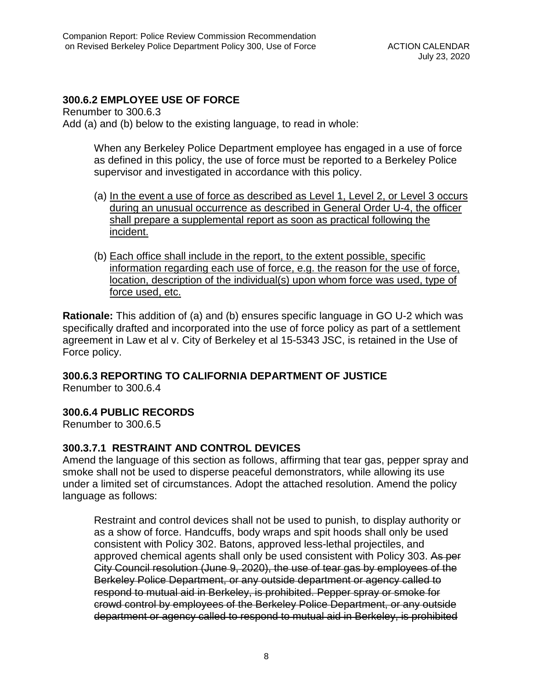## **300.6.2 EMPLOYEE USE OF FORCE**

Renumber to 300.6.3 Add (a) and (b) below to the existing language, to read in whole:

> When any Berkeley Police Department employee has engaged in a use of force as defined in this policy, the use of force must be reported to a Berkeley Police supervisor and investigated in accordance with this policy.

- (a) In the event a use of force as described as Level 1, Level 2, or Level 3 occurs during an unusual occurrence as described in General Order U-4, the officer shall prepare a supplemental report as soon as practical following the incident.
- (b) Each office shall include in the report, to the extent possible, specific information regarding each use of force, e.g. the reason for the use of force, location, description of the individual(s) upon whom force was used, type of force used, etc.

**Rationale:** This addition of (a) and (b) ensures specific language in GO U-2 which was specifically drafted and incorporated into the use of force policy as part of a settlement agreement in Law et al v. City of Berkeley et al 15-5343 JSC, is retained in the Use of Force policy.

**300.6.3 REPORTING TO CALIFORNIA DEPARTMENT OF JUSTICE**

Renumber to 300.6.4

# **300.6.4 PUBLIC RECORDS**

Renumber to 300.6.5

### **300.3.7.1 RESTRAINT AND CONTROL DEVICES**

Amend the language of this section as follows, affirming that tear gas, pepper spray and smoke shall not be used to disperse peaceful demonstrators, while allowing its use under a limited set of circumstances. Adopt the attached resolution. Amend the policy language as follows:

Restraint and control devices shall not be used to punish, to display authority or as a show of force. Handcuffs, body wraps and spit hoods shall only be used consistent with Policy 302. Batons, approved less-lethal projectiles, and approved chemical agents shall only be used consistent with Policy 303. As per City Council resolution (June 9, 2020), the use of tear gas by employees of the Berkeley Police Department, or any outside department or agency called to respond to mutual aid in Berkeley, is prohibited. Pepper spray or smoke for crowd control by employees of the Berkeley Police Department, or any outside department or agency called to respond to mutual aid in Berkeley, is prohibited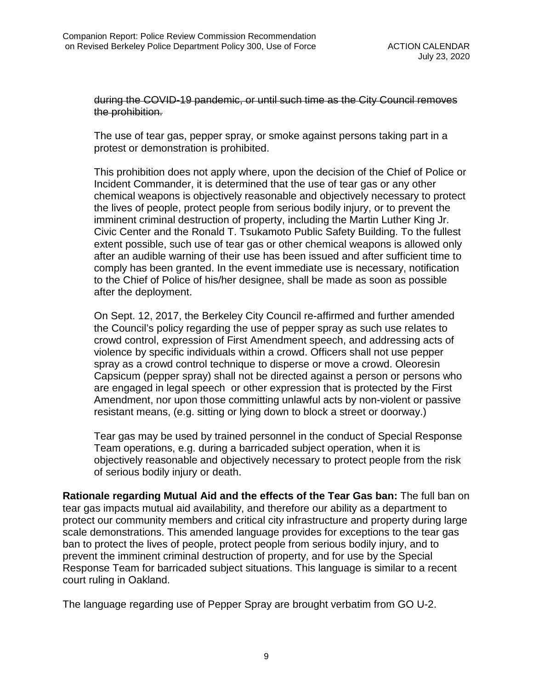during the COVID-19 pandemic, or until such time as the City Council removes the prohibition.

The use of tear gas, pepper spray, or smoke against persons taking part in a protest or demonstration is prohibited.

This prohibition does not apply where, upon the decision of the Chief of Police or Incident Commander, it is determined that the use of tear gas or any other chemical weapons is objectively reasonable and objectively necessary to protect the lives of people, protect people from serious bodily injury, or to prevent the imminent criminal destruction of property, including the Martin Luther King Jr. Civic Center and the Ronald T. Tsukamoto Public Safety Building. To the fullest extent possible, such use of tear gas or other chemical weapons is allowed only after an audible warning of their use has been issued and after sufficient time to comply has been granted. In the event immediate use is necessary, notification to the Chief of Police of his/her designee, shall be made as soon as possible after the deployment.

On Sept. 12, 2017, the Berkeley City Council re-affirmed and further amended the Council's policy regarding the use of pepper spray as such use relates to crowd control, expression of First Amendment speech, and addressing acts of violence by specific individuals within a crowd. Officers shall not use pepper spray as a crowd control technique to disperse or move a crowd. Oleoresin Capsicum (pepper spray) shall not be directed against a person or persons who are engaged in legal speech or other expression that is protected by the First Amendment, nor upon those committing unlawful acts by non-violent or passive resistant means, (e.g. sitting or lying down to block a street or doorway.)

Tear gas may be used by trained personnel in the conduct of Special Response Team operations, e.g. during a barricaded subject operation, when it is objectively reasonable and objectively necessary to protect people from the risk of serious bodily injury or death.

**Rationale regarding Mutual Aid and the effects of the Tear Gas ban:** The full ban on tear gas impacts mutual aid availability, and therefore our ability as a department to protect our community members and critical city infrastructure and property during large scale demonstrations. This amended language provides for exceptions to the tear gas ban to protect the lives of people, protect people from serious bodily injury, and to prevent the imminent criminal destruction of property, and for use by the Special Response Team for barricaded subject situations. This language is similar to a recent court ruling in Oakland.

The language regarding use of Pepper Spray are brought verbatim from GO U-2.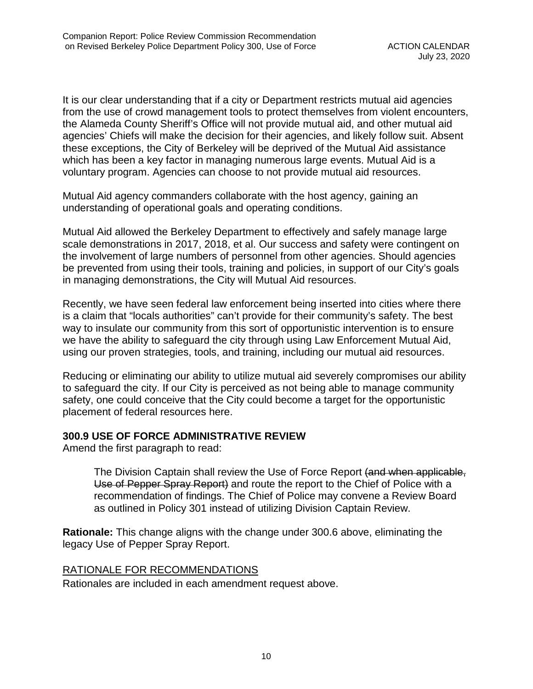It is our clear understanding that if a city or Department restricts mutual aid agencies from the use of crowd management tools to protect themselves from violent encounters, the Alameda County Sheriff's Office will not provide mutual aid, and other mutual aid agencies' Chiefs will make the decision for their agencies, and likely follow suit. Absent these exceptions, the City of Berkeley will be deprived of the Mutual Aid assistance which has been a key factor in managing numerous large events. Mutual Aid is a voluntary program. Agencies can choose to not provide mutual aid resources.

Mutual Aid agency commanders collaborate with the host agency, gaining an understanding of operational goals and operating conditions.

Mutual Aid allowed the Berkeley Department to effectively and safely manage large scale demonstrations in 2017, 2018, et al. Our success and safety were contingent on the involvement of large numbers of personnel from other agencies. Should agencies be prevented from using their tools, training and policies, in support of our City's goals in managing demonstrations, the City will Mutual Aid resources.

Recently, we have seen federal law enforcement being inserted into cities where there is a claim that "locals authorities" can't provide for their community's safety. The best way to insulate our community from this sort of opportunistic intervention is to ensure we have the ability to safeguard the city through using Law Enforcement Mutual Aid, using our proven strategies, tools, and training, including our mutual aid resources.

Reducing or eliminating our ability to utilize mutual aid severely compromises our ability to safeguard the city. If our City is perceived as not being able to manage community safety, one could conceive that the City could become a target for the opportunistic placement of federal resources here.

# **300.9 USE OF FORCE ADMINISTRATIVE REVIEW**

Amend the first paragraph to read:

The Division Captain shall review the Use of Force Report (and when applicable, Use of Pepper Spray Report) and route the report to the Chief of Police with a recommendation of findings. The Chief of Police may convene a Review Board as outlined in Policy 301 instead of utilizing Division Captain Review.

**Rationale:** This change aligns with the change under 300.6 above, eliminating the legacy Use of Pepper Spray Report.

# RATIONALE FOR RECOMMENDATIONS

Rationales are included in each amendment request above.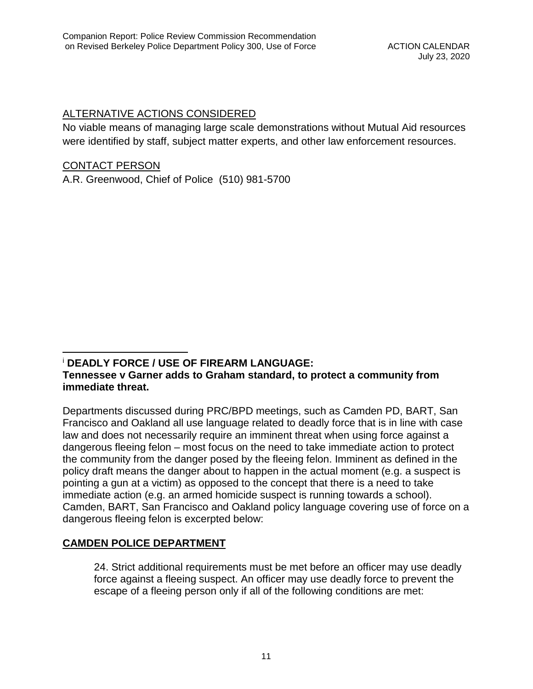# ALTERNATIVE ACTIONS CONSIDERED

No viable means of managing large scale demonstrations without Mutual Aid resources were identified by staff, subject matter experts, and other law enforcement resources.

### CONTACT PERSON

A.R. Greenwood, Chief of Police (510) 981-5700

#### <span id="page-10-0"></span><sup>i</sup> **DEADLY FORCE / USE OF FIREARM LANGUAGE: Tennessee v Garner adds to Graham standard, to protect a community from immediate threat.**  $\overline{a}$

Departments discussed during PRC/BPD meetings, such as Camden PD, BART, San Francisco and Oakland all use language related to deadly force that is in line with case law and does not necessarily require an imminent threat when using force against a dangerous fleeing felon – most focus on the need to take immediate action to protect the community from the danger posed by the fleeing felon. Imminent as defined in the policy draft means the danger about to happen in the actual moment (e.g. a suspect is pointing a gun at a victim) as opposed to the concept that there is a need to take immediate action (e.g. an armed homicide suspect is running towards a school). Camden, BART, San Francisco and Oakland policy language covering use of force on a dangerous fleeing felon is excerpted below:

# **CAMDEN POLICE DEPARTMENT**

24. Strict additional requirements must be met before an officer may use deadly force against a fleeing suspect. An officer may use deadly force to prevent the escape of a fleeing person only if all of the following conditions are met: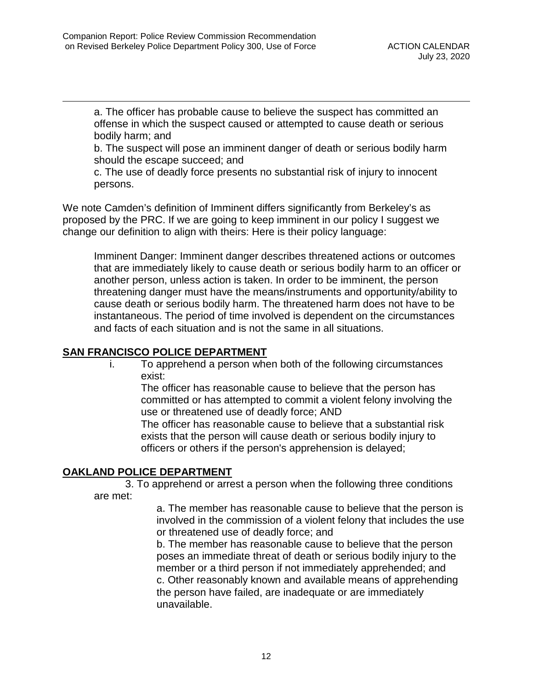$\overline{a}$ 

a. The officer has probable cause to believe the suspect has committed an offense in which the suspect caused or attempted to cause death or serious bodily harm; and

b. The suspect will pose an imminent danger of death or serious bodily harm should the escape succeed; and

c. The use of deadly force presents no substantial risk of injury to innocent persons.

We note Camden's definition of Imminent differs significantly from Berkeley's as proposed by the PRC. If we are going to keep imminent in our policy I suggest we change our definition to align with theirs: Here is their policy language:

Imminent Danger: Imminent danger describes threatened actions or outcomes that are immediately likely to cause death or serious bodily harm to an officer or another person, unless action is taken. In order to be imminent, the person threatening danger must have the means/instruments and opportunity/ability to cause death or serious bodily harm. The threatened harm does not have to be instantaneous. The period of time involved is dependent on the circumstances and facts of each situation and is not the same in all situations.

# **SAN FRANCISCO POLICE DEPARTMENT**

i. To apprehend a person when both of the following circumstances exist:

The officer has reasonable cause to believe that the person has committed or has attempted to commit a violent felony involving the use or threatened use of deadly force; AND

The officer has reasonable cause to believe that a substantial risk exists that the person will cause death or serious bodily injury to officers or others if the person's apprehension is delayed;

# **OAKLAND POLICE DEPARTMENT**

3. To apprehend or arrest a person when the following three conditions are met:

> a. The member has reasonable cause to believe that the person is involved in the commission of a violent felony that includes the use or threatened use of deadly force; and

b. The member has reasonable cause to believe that the person poses an immediate threat of death or serious bodily injury to the member or a third person if not immediately apprehended; and c. Other reasonably known and available means of apprehending the person have failed, are inadequate or are immediately unavailable.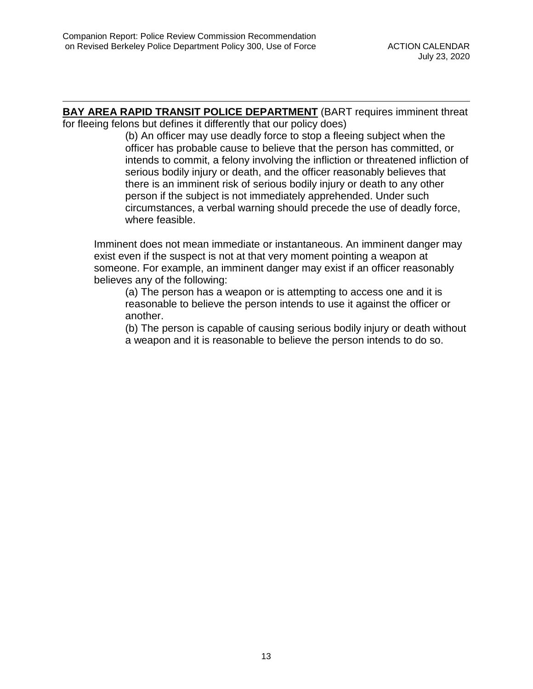$\overline{a}$ 

**BAY AREA RAPID TRANSIT POLICE DEPARTMENT** (BART requires imminent threat for fleeing felons but defines it differently that our policy does)

(b) An officer may use deadly force to stop a fleeing subject when the officer has probable cause to believe that the person has committed, or intends to commit, a felony involving the infliction or threatened infliction of serious bodily injury or death, and the officer reasonably believes that there is an imminent risk of serious bodily injury or death to any other person if the subject is not immediately apprehended. Under such circumstances, a verbal warning should precede the use of deadly force, where feasible.

Imminent does not mean immediate or instantaneous. An imminent danger may exist even if the suspect is not at that very moment pointing a weapon at someone. For example, an imminent danger may exist if an officer reasonably believes any of the following:

(a) The person has a weapon or is attempting to access one and it is reasonable to believe the person intends to use it against the officer or another.

(b) The person is capable of causing serious bodily injury or death without a weapon and it is reasonable to believe the person intends to do so.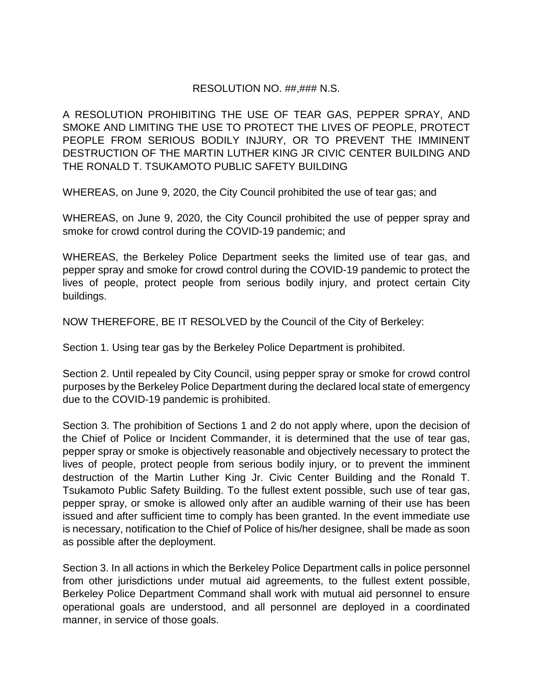### RESOLUTION NO. ##,### N.S.

A RESOLUTION PROHIBITING THE USE OF TEAR GAS, PEPPER SPRAY, AND SMOKE AND LIMITING THE USE TO PROTECT THE LIVES OF PEOPLE, PROTECT PEOPLE FROM SERIOUS BODILY INJURY, OR TO PREVENT THE IMMINENT DESTRUCTION OF THE MARTIN LUTHER KING JR CIVIC CENTER BUILDING AND THE RONALD T. TSUKAMOTO PUBLIC SAFETY BUILDING

WHEREAS, on June 9, 2020, the City Council prohibited the use of tear gas; and

WHEREAS, on June 9, 2020, the City Council prohibited the use of pepper spray and smoke for crowd control during the COVID-19 pandemic; and

WHEREAS, the Berkeley Police Department seeks the limited use of tear gas, and pepper spray and smoke for crowd control during the COVID-19 pandemic to protect the lives of people, protect people from serious bodily injury, and protect certain City buildings.

NOW THEREFORE, BE IT RESOLVED by the Council of the City of Berkeley:

Section 1. Using tear gas by the Berkeley Police Department is prohibited.

Section 2. Until repealed by City Council, using pepper spray or smoke for crowd control purposes by the Berkeley Police Department during the declared local state of emergency due to the COVID-19 pandemic is prohibited.

Section 3. The prohibition of Sections 1 and 2 do not apply where, upon the decision of the Chief of Police or Incident Commander, it is determined that the use of tear gas, pepper spray or smoke is objectively reasonable and objectively necessary to protect the lives of people, protect people from serious bodily injury, or to prevent the imminent destruction of the Martin Luther King Jr. Civic Center Building and the Ronald T. Tsukamoto Public Safety Building. To the fullest extent possible, such use of tear gas, pepper spray, or smoke is allowed only after an audible warning of their use has been issued and after sufficient time to comply has been granted. In the event immediate use is necessary, notification to the Chief of Police of his/her designee, shall be made as soon as possible after the deployment.

Section 3. In all actions in which the Berkeley Police Department calls in police personnel from other jurisdictions under mutual aid agreements, to the fullest extent possible, Berkeley Police Department Command shall work with mutual aid personnel to ensure operational goals are understood, and all personnel are deployed in a coordinated manner, in service of those goals.